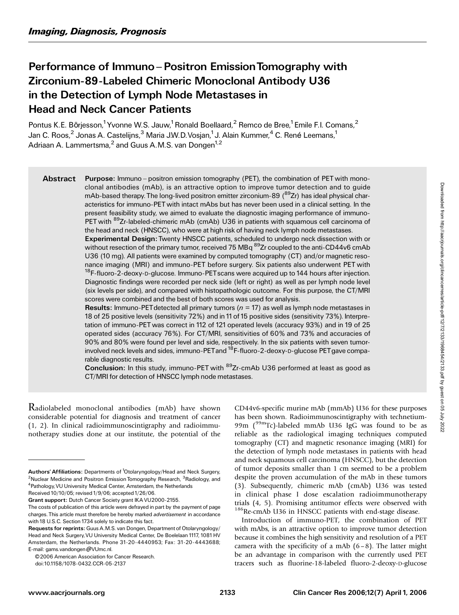# Performance of Immuno – Positron Emission Tomography with Zirconium-89-Labeled Chimeric Monoclonal Antibody U36 in the Detection of Lymph Node Metastases in Head and Neck Cancer Patients

Pontus K.E. Börjesson,<sup>1</sup> Yvonne W.S. Jauw,<sup>1</sup> Ronald Boellaard,<sup>2</sup> Remco de Bree,<sup>1</sup> Emile F.I. Comans,<sup>2</sup> Jan C. Roos, $^2$  Jonas A. Castelijns, $^3$  Maria J.W.D.Vosjan, $^1$ J. Alain Kummer, $^4$  C. René Leemans, $^1$ Adriaan A. Lammertsma, $^2$  and Guus A.M.S. van Dongen<sup>1,2</sup>

Abstract Purpose: Immuno – positron emission tomography (PET), the combination of PET with monoclonal antibodies (mAb), is an attractive option to improve tumor detection and to guide mAb-based therapy. The long-lived positron emitter zirconium-89  $(^{89}Zr)$  has ideal physical characteristics for immuno-PETwith intact mAbs but has never been used in a clinical setting. In the present feasibility study, we aimed to evaluate the diagnostic imaging performance of immuno-PET with <sup>89</sup>Zr-labeled-chimeric mAb (cmAb) U36 in patients with squamous cell carcinoma of the head and neck (HNSCC), who were at high risk of having neck lymph node metastases.

Experimental Design: Twenty HNSCC patients, scheduled to undergo neck dissection with or without resection of the primary tumor, received 75 MBq <sup>89</sup>Zr coupled to the anti-CD44v6 cmAb U36 (10 mg). All patients were examined by computed tomography (CT) and/or magnetic resonance imaging (MRI) and immuno-PET before surgery. Six patients also underwent PET with <sup>18</sup>F-fluoro-2-deoxy-D-glucose. Immuno-PET scans were acquired up to 144 hours after injection. Diagnostic findings were recorded per neck side (left or right) as well as per lymph node level (six levels per side), and compared with histopathologic outcome. For this purpose, the CT/MRI scores were combined and the best of both scores was used for analysis.

**Results:** Immuno-PET detected all primary tumors ( $n = 17$ ) as well as lymph node metastases in 18 of 25 positive levels (sensitivity 72%) and in 11of 15 positive sides (sensitivity 73%). Interpretation of immuno-PET was correct in 112 of 121 operated levels (accuracy 93%) and in 19 of 25 operated sides (accuracy 76%). For CT/MRI, sensitivities of 60% and 73% and accuracies of 90% and 80% were found per level and side, respectively. In the six patients with seven tumorinvolved neck levels and sides, immuno-PET and  $^{18}$ F-fluoro-2-deoxy-D-glucose PET gave comparable diagnostic results.

Conclusion: In this study, immuno-PET with <sup>89</sup>Zr-cmAb U36 performed at least as good as CT/MRI for detection of HNSCC lymph node metastases.

Radiolabeled monoclonal antibodies (mAb) have shown considerable potential for diagnosis and treatment of cancer (1, 2). In clinical radioimmunoscintigraphy and radioimmunotherapy studies done at our institute, the potential of the

© 2006 American Association for Cancer Research.

doi:10.1158/1078-0432.CCR-05-2137

CD44v6-specific murine mAb (mmAb) U36 for these purposes has been shown. Radioimmunoscintigraphy with technetium-99m (99mTc)-labeled mmAb U36 IgG was found to be as reliable as the radiological imaging techniques computed tomography (CT) and magnetic resonance imaging (MRI) for the detection of lymph node metastases in patients with head and neck squamous cell carcinoma (HNSCC), but the detection of tumor deposits smaller than 1 cm seemed to be a problem despite the proven accumulation of the mAb in these tumors (3). Subsequently, chimeric mAb (cmAb) U36 was tested in clinical phase I dose escalation radioimmunotherapy trials (4, 5). Promising antitumor effects were observed with <sup>186</sup>Re-cmAb U36 in HNSCC patients with end-stage disease.

Introduction of immuno-PET, the combination of PET with mAbs, is an attractive option to improve tumor detection because it combines the high sensitivity and resolution of a PET camera with the specificity of a mAb  $(6-8)$ . The latter might be an advantage in comparison with the currently used PET tracers such as fluorine-18-labeled fluoro-2-deoxy-D-glucose

Authors' Affiliations: Departments of <sup>1</sup>Otolaryngology/Head and Neck Surgery, <sup>2</sup>Nuclear Medicine and Positron Emission Tomography Research, <sup>3</sup>Radiology, and <sup>4</sup> Pathology, VU University Medical Center, Amsterdam, the Netherlands Received 10/10/05; revised 1/9/06; accepted 1/26/06.

Grant support: Dutch Cancer Society grant IKA VU2000-2155.

The costs of publication of this article were defrayed in part by the payment of page charges. This article must therefore be hereby marked *advertisement* in accordance with 18 U.S.C. Section 1734 solely to indicate this fact.

Requests for reprints: Guus A.M.S. van Dongen, Department of Otolaryngology/ Head and Neck Surgery,VU University Medical Center, De Boelelaan 1117, 1081HV Amsterdam, the Netherlands. Phone 31-20-4440953; Fax: 31-20-4443688; E-mail: gams.vandongen@VUmc.nl.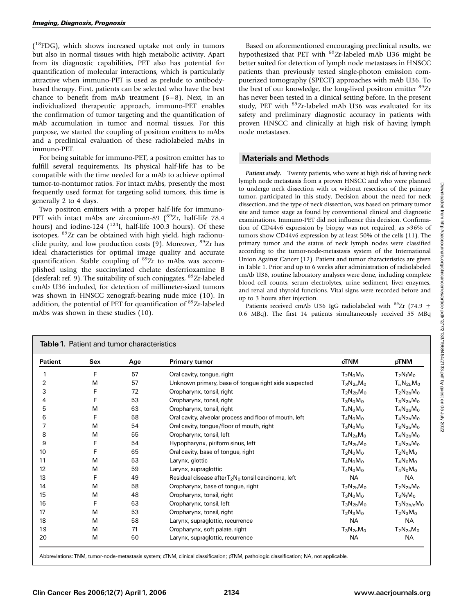(<sup>18</sup>FDG), which shows increased uptake not only in tumors but also in normal tissues with high metabolic activity. Apart from its diagnostic capabilities, PET also has potential for quantification of molecular interactions, which is particularly attractive when immuno-PET is used as prelude to antibodybased therapy. First, patients can be selected who have the best chance to benefit from mAb treatment  $(6-8)$ . Next, in an individualized therapeutic approach, immuno-PET enables the confirmation of tumor targeting and the quantification of mAb accumulation in tumor and normal tissues. For this purpose, we started the coupling of positron emitters to mAbs and a preclinical evaluation of these radiolabeled mAbs in immuno-PET.

For being suitable for immuno-PET, a positron emitter has to fulfill several requirements. Its physical half-life has to be compatible with the time needed for a mAb to achieve optimal tumor-to-nontumor ratios. For intact mAbs, presently the most frequently used format for targeting solid tumors, this time is generally 2 to 4 days.

Two positron emitters with a proper half-life for immuno-PET with intact mAbs are zirconium-89 ( $^{89}Zr$ , half-life 78.4 hours) and iodine-124  $\binom{124}{1}$ , half-life 100.3 hours). Of these isotopes, <sup>89</sup>Zr can be obtained with high yield, high radionuclide purity, and low production costs (9). Moreover, <sup>89</sup>Zr has ideal characteristics for optimal image quality and accurate quantification. Stable coupling of  ${}^{89}Zr$  to mAbs was accomplished using the succinylated chelate desferrioxamine B (desferal; ref. 9). The suitability of such conjugates, <sup>89</sup>Zr-labeled cmAb U36 included, for detection of millimeter-sized tumors was shown in HNSCC xenograft-bearing nude mice (10). In addition, the potential of PET for quantification of <sup>89</sup>Zr-labeled mAbs was shown in these studies (10).

Based on aforementioned encouraging preclinical results, we hypothesized that PET with <sup>89</sup>Zr-labeled mAb U36 might be better suited for detection of lymph node metastases in HNSCC patients than previously tested single-photon emission computerized tomography (SPECT) approaches with mAb U36. To the best of our knowledge, the long-lived positron emitter <sup>89</sup>Zr has never been tested in a clinical setting before. In the present study, PET with <sup>89</sup>Zr-labeled mAb U36 was evaluated for its safety and preliminary diagnostic accuracy in patients with proven HNSCC and clinically at high risk of having lymph node metastases.

## Materials and Methods

Patient study. Twenty patients, who were at high risk of having neck lymph node metastasis from a proven HNSCC and who were planned to undergo neck dissection with or without resection of the primary tumor, participated in this study. Decision about the need for neck dissection, and the type of neck dissection, was based on primary tumor site and tumor stage as found by conventional clinical and diagnostic examinations. Immuno-PET did not influence this decision. Confirmation of CD44v6 expression by biopsy was not required, as >96% of tumors show CD44v6 expression by at least 50% of the cells (11). The primary tumor and the status of neck lymph nodes were classified according to the tumor-node-metastasis system of the International Union Against Cancer (12). Patient and tumor characteristics are given in Table 1. Prior and up to 6 weeks after administration of radiolabeled cmAb U36, routine laboratory analyses were done, including complete blood cell counts, serum electrolytes, urine sediment, liver enzymes, and renal and thyroid functions. Vital signs were recorded before and up to 3 hours after injection.

Patients received cmAb U36 IgG radiolabeled with  $^{89}Zr$  (74.9  $\pm$ 0.6 MBq). The first 14 patients simultaneously received 55 MBq

| <b>Patient</b> | Sex<br>Age |    | <b>Primary tumor</b>                                   | <b>cTNM</b>    | pTNM              |
|----------------|------------|----|--------------------------------------------------------|----------------|-------------------|
|                | F          | 57 | Oral cavity, tongue, right                             | $T_2N_0M_0$    | $T_2N_1M_0$       |
| $\overline{2}$ | M          | 57 | Unknown primary, base of tongue right side suspected   | $T_XN_{2a}M_0$ | $T_{is}N_{2b}M_0$ |
| 3              | F          | 72 | Oropharynx, tonsil, right                              | $T_2N_{2b}M_0$ | $T_2N_{2b}M_0$    |
| 4              | F          | 53 | Oropharynx, tonsil, right                              | $T_3N_0M_0$    | $T_3N_{2b}M_0$    |
| 5              | M          | 63 | Oropharynx, tonsil, right                              | $T_4N_0M_0$    | $T_4N_{2b}M_0$    |
| 6              | F          | 58 | Oral cavity, alveolar process and floor of mouth, left | $T_4N_0M_0$    | $T_4N_{2b}M_0$    |
|                | M          | 54 | Oral cavity, tongue/floor of mouth, right              | $T_3N_0M_0$    | $T_3N_{2b}M_0$    |
| 8              | M          | 55 | Oropharynx, tonsil, left                               | $T_4N_{2a}M_0$ | $T_4N_{2b}M_0$    |
| 9              | F          | 54 | Hypopharynx, piriform sinus, left                      | $T_4N_{2b}M_0$ | $T_4N_{2b}M_0$    |
| 10             | F          | 65 | Oral cavity, base of tongue, right                     | $T_2N_0M_0$    | $T_2N_0M_0$       |
| 11             | M          | 53 | Larynx, glottic                                        | $T_4N_0M_0$    | $T_4N_0M_0$       |
| 12             | M          | 59 | Larynx, supraglottic                                   | $T_4N_0M_0$    | $T_4N_0M_0$       |
| 13             | F          | 49 | Residual disease after $T_2N_0$ tonsil carcinoma, left | <b>NA</b>      | <b>NA</b>         |
| 14             | M          | 58 | Oropharynx, base of tongue, right                      | $T_2N_{2b}M_0$ | $T_2N_{2b}M_0$    |
| 15             | M          | 48 | $T_3N_0M_0$<br>Oropharynx, tonsil, right               |                | $T_3N_1M_0$       |
| 16             | F          | 63 | Oropharynx, tonsil, left                               | $T_3N_{2b}M_0$ | $T_3N_{2b/c}M_0$  |
| 17             | M          | 53 | Oropharynx, tonsil, right                              | $T_2N_3M_0$    | $T_2N_3M_0$       |
| 18             | M          | 58 | <b>NA</b><br>Larynx, supraglottic, recurrence          |                | <b>NA</b>         |
| 19             | M          | 71 | Oropharynx, soft palate, right<br>$T_3N_{2c}M_0$       |                | $T_2N_{2c}M_0$    |
| 20             | M          | 60 | Larynx, supraglottic, recurrence                       | <b>NA</b>      | <b>NA</b>         |

Abbreviations: TNM, tumor-node-metastasis system; cTNM, clinical classification; pTNM, pathologic classification; NA, not applicable.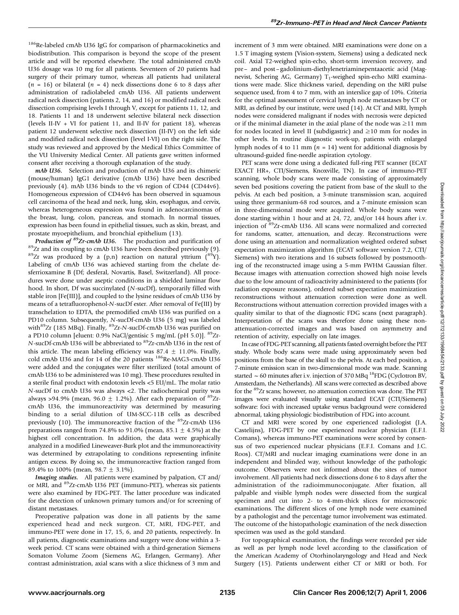<sup>186</sup>Re-labeled cmAb U36 IgG for comparison of pharmacokinetics and biodistribution. This comparison is beyond the scope of the present article and will be reported elsewhere. The total administered cmAb U36 dosage was 10 mg for all patients. Seventeen of 20 patients had surgery of their primary tumor, whereas all patients had unilateral  $(n = 16)$  or bilateral  $(n = 4)$  neck dissections done 6 to 8 days after administration of radiolabeled cmAb U36. All patients underwent radical neck dissection (patients 2, 14, and 16) or modified radical neck dissection comprising levels I through V, except for patients 11, 12, and 18. Patients 11 and 18 underwent selective bilateral neck dissection (levels II-IV + VI for patient 11, and II-IV for patient 18), whereas patient 12 underwent selective neck dissection (II-IV) on the left side and modified radical neck dissection (level I-VI) on the right side. The study was reviewed and approved by the Medical Ethics Committee of the VU University Medical Center. All patients gave written informed consent after receiving a thorough explanation of the study.

mAb U36. Selection and production of mAb U36 and its chimeric (mouse/human) IgG1 derivative (cmAb U36) have been described previously (4). mAb U36 binds to the v6 region of CD44 (CD44v6). Homogeneous expression of CD44v6 has been observed in squamous cell carcinoma of the head and neck, lung, skin, esophagus, and cervix, whereas heterogeneous expression was found in adenocarcinomas of the breast, lung, colon, pancreas, and stomach. In normal tissues, expression has been found in epithelial tissues, such as skin, breast, and prostate myoepithelium, and bronchial epithelium (13).

Production of <sup>89</sup>Zr-cmAb U36. The production and purification of  $89$ <sup>89</sup>Zr and its coupling to cmAb U36 have been described previously (9).  $89Zr$  was produced by a (p,n) reaction on natural yttrium  $(^{89}Y)$ . Labeling of cmAb U36 was achieved starting from the chelate desferrioxamine B (Df; desferal, Novartis, Basel, Switzerland). All procedures were done under aseptic conditions in a shielded laminar flow hood. In short, Df was succinylated (N-sucDf), temporarily filled with stable iron [Fe(III)], and coupled to the lysine residues of cmAb U36 by means of a tetrafluorophenol-N-sucDf ester. After removal of Fe(III) by transchelation to EDTA, the premodified cmAb U36 was purified on a PD10 column. Subsequently, N-sucDf-cmAb U36 (5 mg) was labeled with<sup>89</sup>Zr (185 MBq). Finally, <sup>89</sup>Zr-N-sucDf-cmAb U36 was purified on a PD10 column [eluent: 0.9% NaCl/gentisic 5 mg/mL (pH 5.0)].  ${}^{89}Zr$ -N-sucDf-cmAb U36 will be abbreviated to 89Zr-cmAb U36 in the rest of this article. The mean labeling efficiency was  $87.4 \pm 11.0\%$ . Finally, cold cmAb U36 and for 14 of the 20 patients <sup>186</sup>Re-MAG3-cmAb U36 were added and the conjugates were filter sterilized (total amount of cmAb U36 to be administered was 10 mg). These procedures resulted in a sterile final product with endotoxin levels <5 EU/mL. The molar ratio N-sucDf to cmAb U36 was always <2. The radiochemical purity was always >94.9% (mean,  $96.0 \pm 1.2$ %). After each preparation of  ${}^{89}Zr$ cmAb U36, the immunoreactivity was determined by measuring binding to a serial dilution of UM-SCC-11B cells as described previously (10). The immunoreactive fraction of the <sup>89</sup>Zr-cmAb U36 preparations ranged from 74.8% to 91.0% (mean, 85.1  $\pm$  4.5%) at the highest cell concentration. In addition, the data were graphically analyzed in a modified Lineweaver-Burk plot and the immunoreactivity was determined by extrapolating to conditions representing infinite antigen excess. By doing so, the immunoreactive fraction ranged from 89.4% to 100% (mean, 98.7  $\pm$  3.1%).

Imaging studies. All patients were examined by palpation, CT and/ or MRI, and 89Zr-cmAb U36 PET (immuno-PET), whereas six patients were also examined by FDG-PET. The latter procedure was indicated for the detection of unknown primary tumors and/or for screening of distant metastases.

Preoperative palpation was done in all patients by the same experienced head and neck surgeon. CT, MRI, FDG-PET, and immuno-PET were done in 17, 15, 6, and 20 patients, respectively. In all patients, diagnostic examinations and surgery were done within a 3 week period. CT scans were obtained with a third-generation Siemens Somaton Volume Zoom (Siemens AG, Erlangen, Germany). After contrast administration, axial scans with a slice thickness of 3 mm and

increment of 3 mm were obtained. MRI examinations were done on a 1.5 T imaging system (Vision-system, Siemens) using a dedicated neck coil. Axial T2-weighed spin-echo, short-term inversion recovery, and pre – and post – gadolinium-diethylenetriaminepentaacetic acid (Magnevist, Schering AG, Germany) T<sub>1</sub>-weighed spin-echo MRI examinations were made. Slice thickness varied, depending on the MRI pulse sequence used, from 4 to 7 mm, with an interslice gap of 10%. Criteria for the optimal assessment of cervical lymph node metastases by CT or MRI, as defined by our institute, were used (14). At CT and MRI, lymph nodes were considered malignant if nodes with necrosis were depicted or if the minimal diameter in the axial plane of the node was  $\geq$ 11 mm for nodes located in level II (subdigastric) and  $\geq 10$  mm for nodes in other levels. In routine diagnostic work-up, patients with enlarged lymph nodes of 4 to 11 mm ( $n = 14$ ) went for additional diagnosis by ultrasound-guided fine-needle aspiration cytology.

PET scans were done using a dedicated full-ring PET scanner (ECAT EXACT HR+, CTI/Siemens, Knoxville, TN). In case of immuno-PET scanning, whole body scans were made consisting of approximately seven bed positions covering the patient from base of the skull to the pelvis. At each bed position, a 3-minute transmission scan, acquired using three germanium-68 rod sources, and a 7-minute emission scan in three-dimensional mode were acquired. Whole body scans were done starting within 1 hour and at 24, 72, and/or 144 hours after i.v. injection of 89Zr-cmAb U36. All scans were normalized and corrected for randoms, scatter, attenuation, and decay. Reconstructions were done using an attenuation and normalization weighted ordered subset expectation maximization algorithm (ECAT software version 7.2, CTI/ Siemens) with two iterations and 16 subsets followed by postsmoothing of the reconstructed image using a 5-mm FWHM Gaussian filter. Because images with attenuation correction showed high noise levels due to the low amount of radioactivity administered to the patients (for radiation exposure reasons), ordered subset expectation maximization reconstructions without attenuation correction were done as well. Reconstructions without attenuation correction provided images with a quality similar to that of the diagnostic FDG scans (next paragraph). Interpretation of the scans was therefore done using these nonattenuation-corrected images and was based on asymmetry and retention of activity, especially on late images.

In case of FDG-PET scanning, all patients fasted overnight before the PET study. Whole body scans were made using approximately seven bed positions from the base of the skull to the pelvis. At each bed position, a 7-minute emission scan in two-dimensional mode was made. Scanning started  $\sim$  60 minutes after i.v. injection of 370 MBq <sup>18</sup>FDG (Cyclotron BV, Amsterdam, the Netherlands). All scans were corrected as described above for the 89Zr scans; however, no attenuation correction was done. The PET images were evaluated visually using standard ECAT (CTI/Siemens) software: foci with increased uptake versus background were considered abnormal, taking physiologic biodistribution of FDG into account.

CT and MRI were scored by one experienced radiologist (J.A. Castelijns), FDG-PET by one experienced nuclear physician (E.F.I. Comans), whereas immuno-PET examinations were scored by consensus of two experienced nuclear physicians (E.F.I. Comans and J.C. Roos). CT/MRI and nuclear imaging examinations were done in an independent and blinded way, without knowledge of the pathologic outcome. Observers were not informed about the sites of tumor involvement. All patients had neck dissections done 6 to 8 days after the administration of the radioimmunoconjugate. After fixation, all palpable and visible lymph nodes were dissected from the surgical specimen and cut into 2- to 4-mm-thick slices for microscopic examinations. The different slices of one lymph node were examined by a pathologist and the percentage tumor involvement was estimated. The outcome of the histopathologic examination of the neck dissection specimen was used as the gold standard.

For topographical examination, the findings were recorded per side as well as per lymph node level according to the classification of the American Academy of Otorhinolaryngology and Head and Neck Surgery (15). Patients underwent either CT or MRI or both. For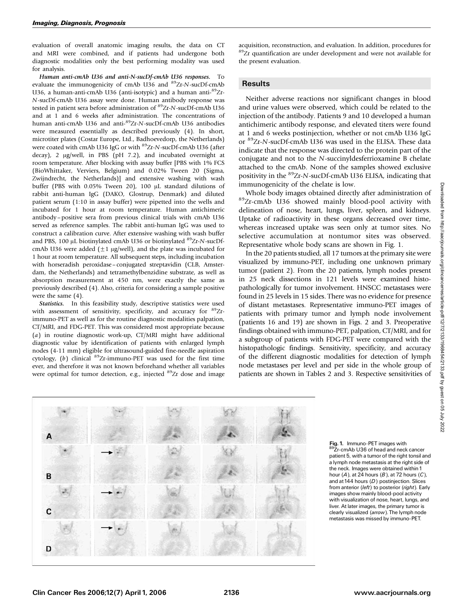evaluation of overall anatomic imaging results, the data on CT and MRI were combined, and if patients had undergone both diagnostic modalities only the best performing modality was used for analysis.

Human anti-cmAb U36 and anti-N-sucDf-cmAb U36 responses. To evaluate the immunogenicity of cmAb U36 and <sup>89</sup>Zr-N-sucDf-cmAb U36, a human-anti-cmAb U36 (anti-isotypic) and a human anti- ${}^{89}Zr$ -N-sucDf-cmAb U36 assay were done. Human antibody response was tested in patient sera before administration of <sup>89</sup>Zr-N-sucDf-cmAb U36 and at 1 and 6 weeks after administration. The concentrations of human anti-cmAb U36 and anti-89Zr-N-sucDf-cmAb U36 antibodies were measured essentially as described previously (4). In short, microtiter plates (Costar Europe, Ltd., Badhoevedorp, the Netherlands) were coated with cmAb U36 IgG or with <sup>89</sup>Zr-N-sucDf-cmAb U36 (after decay), 2  $\mu$ g/well, in PBS (pH 7.2), and incubated overnight at room temperature. After blocking with assay buffer [PBS with 1% FCS (BioWhittaker, Verviers, Belgium) and 0.02% Tween 20 (Sigma, Zwijndrecht, the Netherlands)] and extensive washing with wash buffer (PBS with  $0.05\%$  Tween 20), 100  $\mu$ L standard dilutions of rabbit anti-human IgG (DAKO, Glostrup, Denmark) and diluted patient serum (1:10 in assay buffer) were pipetted into the wells and incubated for 1 hour at room temperature. Human antichimeric antibody – positive sera from previous clinical trials with cmAb U36 served as reference samples. The rabbit anti-human IgG was used to construct a calibration curve. After extensive washing with wash buffer and PBS, 100 µL biotinylated cmAb U36 or biotinylated <sup>89</sup>Zr-N-sucDfcmAb U36 were added ( $\pm 1$  µg/well), and the plate was incubated for 1 hour at room temperature. All subsequent steps, including incubation with horseradish peroxidase – conjugated streptavidin (CLB, Amsterdam, the Netherlands) and tetramethylbenzidine substrate, as well as absorption measurement at 450 nm, were exactly the same as previously described (4). Also, criteria for considering a sample positive were the same (4).

Statistics. In this feasibility study, descriptive statistics were used with assessment of sensitivity, specificity, and accuracy for  ${}^{89}Zr$ immuno-PET as well as for the routine diagnostic modalities palpation, CT/MRI, and FDG-PET. This was considered most appropriate because (a) in routine diagnostic work-up, CT/MRI might have additional diagnostic value by identification of patients with enlarged lymph nodes (4-11 mm) eligible for ultrasound-guided fine-needle aspiration cytology, (b) clinical 89Zr-immuno-PET was used for the first time ever, and therefore it was not known beforehand whether all variables were optimal for tumor detection, e.g., injected <sup>89</sup>Zr dose and image

acquisition, reconstruction, and evaluation. In addition, procedures for  $89Zr$  quantification are under development and were not available for the present evaluation.

### **Results**

Neither adverse reactions nor significant changes in blood and urine values were observed, which could be related to the injection of the antibody. Patients 9 and 10 developed a human antichimeric antibody response, and elevated titers were found at 1 and 6 weeks postinjection, whether or not cmAb U36 IgG or 89Zr-N-sucDf-cmAb U36 was used in the ELISA. These data indicate that the response was directed to the protein part of the conjugate and not to the N-succinyldesferrioxamine B chelate attached to the cmAb. None of the samples showed exclusive positivity in the <sup>89</sup>Zr-N-sucDf-cmAb U36 ELISA, indicating that immunogenicity of the chelate is low.

Whole body images obtained directly after administration of 89Zr-cmAb U36 showed mainly blood-pool activity with delineation of nose, heart, lungs, liver, spleen, and kidneys. Uptake of radioactivity in these organs decreased over time, whereas increased uptake was seen only at tumor sites. No selective accumulation at nontumor sites was observed. Representative whole body scans are shown in Fig. 1.

In the 20 patients studied, all 17 tumors at the primary site were visualized by immuno-PET, including one unknown primary tumor (patient 2). From the 20 patients, lymph nodes present in 25 neck dissections in 121 levels were examined histopathologically for tumor involvement. HNSCC metastases were found in 25 levels in 15 sides. There was no evidence for presence of distant metastases. Representative immuno-PET images of patients with primary tumor and lymph node involvement (patients 16 and 19) are shown in Figs. 2 and 3. Preoperative findings obtained with immuno-PET, palpation, CT/MRI, and for a subgroup of patients with FDG-PET were compared with the histopathologic findings. Sensitivity, specificity, and accuracy of the different diagnostic modalities for detection of lymph node metastases per level and per side in the whole group of patients are shown in Tables 2 and 3. Respective sensitivities of

B C D

Fig. 1. Immuno-PET images with<br><sup>89</sup>Zr-cmAb U36 of head and neck cancer patient 5, with a tumor of the right tonsil and a lymph node metastasis at the right side of the neck. Images were obtained within 1 hour  $(A)$ , at 24 hours  $(B)$ , at 72 hours  $(C)$ , and at 144 hours  $(D)$  postinjection. Slices from anterior (left) to posterior (right). Early images show mainly blood-pool activity with visualization of nose, heart, lungs, and liver. At later images, the primary tumor is clearly visualized (arrow). The lymph node metastasis was missed by immuno-PET.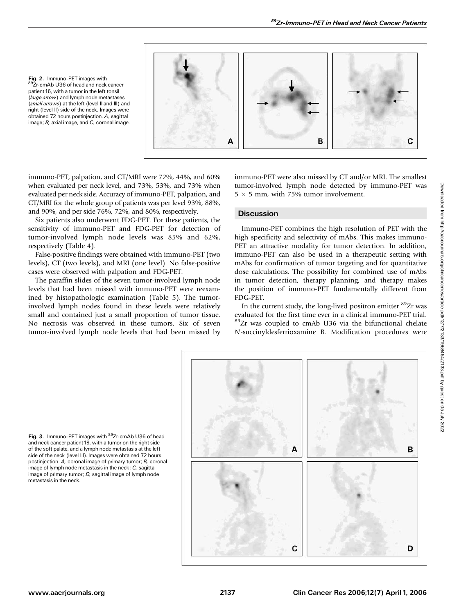Fig. 2. Immuno-PET images with 89Zr-cmAb U36 of head and neck cancer patient 16, with a tumor in the left tonsil (large arrow) and lymph node metastases (small arrows) at the left (level II and III) and right (level II) side of the neck. Images were obtained 72 hours postinjection. A, sagittal image; B, axial image, and C, coronal image.



immuno-PET, palpation, and CT/MRI were 72%, 44%, and 60% when evaluated per neck level, and 73%, 53%, and 73% when evaluated per neck side. Accuracy of immuno-PET, palpation, and CT/MRI for the whole group of patients was per level 93%, 88%, and 90%, and per side 76%, 72%, and 80%, respectively.

Six patients also underwent FDG-PET. For these patients, the sensitivity of immuno-PET and FDG-PET for detection of tumor-involved lymph node levels was 85% and 62%, respectively (Table 4).

False-positive findings were obtained with immuno-PET (two levels), CT (two levels), and MRI (one level). No false-positive cases were observed with palpation and FDG-PET.

The paraffin slides of the seven tumor-involved lymph node levels that had been missed with immuno-PET were reexamined by histopathologic examination (Table 5). The tumorinvolved lymph nodes found in these levels were relatively small and contained just a small proportion of tumor tissue. No necrosis was observed in these tumors. Six of seven tumor-involved lymph node levels that had been missed by immuno-PET were also missed by CT and/or MRI. The smallest tumor-involved lymph node detected by immuno-PET was  $5 \times 5$  mm, with 75% tumor involvement.

## **Discussion**

Immuno-PET combines the high resolution of PET with the high specificity and selectivity of mAbs. This makes immuno-PET an attractive modality for tumor detection. In addition, immuno-PET can also be used in a therapeutic setting with mAbs for confirmation of tumor targeting and for quantitative dose calculations. The possibility for combined use of mAbs in tumor detection, therapy planning, and therapy makes the position of immuno-PET fundamentally different from FDG-PET.

In the current study, the long-lived positron emitter <sup>89</sup>Zr was evaluated for the first time ever in a clinical immuno-PET trial. 89Zr was coupled to cmAb U36 via the bifunctional chelate N-succinyldesferrioxamine B. Modification procedures were



Fig. 3. Immuno-PET images with <sup>89</sup>Zr-cmAb U36 of head and neck cancer patient 19, with a tumor on the right side of the soft palate, and a lymph node metastasis at the left side of the neck (level III). Images were obtained 72 hours postinjection. A, coronal image of primary tumor; B, coronal image of lymph node metastasis in the neck; C, sagittal image of primary tumor; *D*, sagittal image of lymph node metastasis in the neck.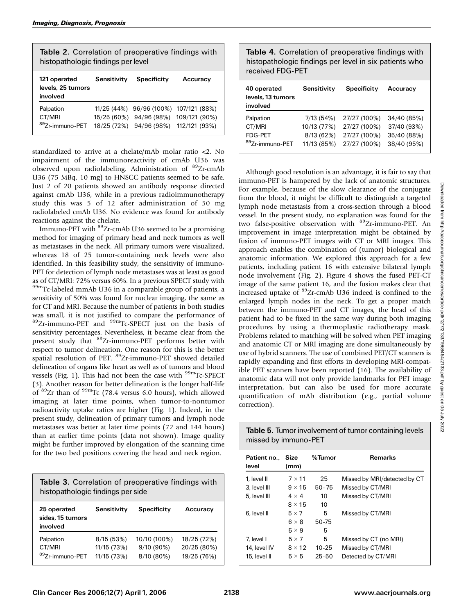| Table 2. Correlation of preoperative findings with<br>histopathologic findings per level |                                           |                                            |                                                 |  |
|------------------------------------------------------------------------------------------|-------------------------------------------|--------------------------------------------|-------------------------------------------------|--|
| 121 operated<br>levels, 25 tumors<br>involved                                            | Sensitivity                               | Specificity                                | Accuracy                                        |  |
| Palpation<br>CT/MRI<br><sup>89</sup> Zr-immuno-PET                                       | 11/25 (44%)<br>15/25 (60%)<br>18/25 (72%) | 96/96 (100%)<br>94/96 (98%)<br>94/96 (98%) | 107/121 (88%)<br>109/121 (90%)<br>112/121 (93%) |  |

standardized to arrive at a chelate/mAb molar ratio <2. No impairment of the immunoreactivity of cmAb U36 was observed upon radiolabeling. Administration of <sup>89</sup>Zr-cmAb U36 (75 MBq, 10 mg) to HNSCC patients seemed to be safe. Just 2 of 20 patients showed an antibody response directed against cmAb U36, while in a previous radioimmunotherapy study this was 5 of 12 after administration of 50 mg radiolabeled cmAb U36. No evidence was found for antibody reactions against the chelate.

Immuno-PET with 89Zr-cmAb U36 seemed to be a promising method for imaging of primary head and neck tumors as well as metastases in the neck. All primary tumors were visualized, whereas 18 of 25 tumor-containing neck levels were also identified. In this feasibility study, the sensitivity of immuno-PET for detection of lymph node metastases was at least as good as of CT/MRI: 72% versus 60%. In a previous SPECT study with 99mTc-labeled mmAb U36 in a comparable group of patients, a sensitivity of 50% was found for nuclear imaging, the same as for CT and MRI. Because the number of patients in both studies was small, it is not justified to compare the performance of 89Zr-immuno-PET and 99mTc-SPECT just on the basis of sensitivity percentages. Nevertheless, it became clear from the present study that 89Zr-immuno-PET performs better with respect to tumor delineation. One reason for this is the better spatial resolution of PET. <sup>89</sup>Zr-immuno-PET showed detailed delineation of organs like heart as well as of tumors and blood vessels (Fig. 1). This had not been the case with  $^{99m}$ Tc-SPECT (3). Another reason for better delineation is the longer half-life of <sup>89</sup>Zr than of <sup>99m</sup>Tc (78.4 versus 6.0 hours), which allowed imaging at later time points, when tumor-to-nontumor radioactivity uptake ratios are higher (Fig. 1). Indeed, in the present study, delineation of primary tumors and lymph node metastases was better at later time points (72 and 144 hours) than at earlier time points (data not shown). Image quality might be further improved by elongation of the scanning time for the two bed positions covering the head and neck region.

Table 3. Correlation of preoperative findings with histopathologic findings per side

| 25 operated<br>sides, 15 tumors<br>involved | Sensitivity | <b>Specificity</b> | Accuracy    |  |
|---------------------------------------------|-------------|--------------------|-------------|--|
| Palpation                                   | 8/15(53%)   | 10/10 (100%)       | 18/25 (72%) |  |
| CT/MRI                                      | 11/15 (73%) | $9/10(90\%)$       | 20/25 (80%) |  |
| <sup>89</sup> Zr-immuno-PET                 | 11/15 (73%) | 8/10 (80%)         | 19/25 (76%) |  |

Table 4. Correlation of preoperative findings with histopathologic findings per level in six patients who received FDG-PET

| 40 operated<br>levels, 13 tumors<br>involved | Sensitivity | <b>Specificity</b> | Accuracy    |
|----------------------------------------------|-------------|--------------------|-------------|
| Palpation                                    | 7/13(54%)   | 27/27 (100%)       | 34/40 (85%) |
| CT/MRI                                       | 10/13 (77%) | 27/27 (100%)       | 37/40 (93%) |
| <b>FDG-PET</b>                               | 8/13(62%)   | 27/27 (100%)       | 35/40 (88%) |
| <sup>89</sup> Zr-immuno-PET                  | 11/13 (85%) | 27/27 (100%)       | 38/40 (95%) |

Although good resolution is an advantage, it is fair to say that immuno-PET is hampered by the lack of anatomic structures. For example, because of the slow clearance of the conjugate from the blood, it might be difficult to distinguish a targeted lymph node metastasis from a cross-section through a blood vessel. In the present study, no explanation was found for the two false-positive observation with <sup>89</sup>Zr-immuno-PET. An improvement in image interpretation might be obtained by fusion of immuno-PET images with CT or MRI images. This approach enables the combination of (tumor) biological and anatomic information. We explored this approach for a few patients, including patient 16 with extensive bilateral lymph node involvement (Fig. 2). Figure 4 shows the fused PET-CT image of the same patient 16, and the fusion makes clear that increased uptake of 89Zr-cmAb U36 indeed is confined to the enlarged lymph nodes in the neck. To get a proper match between the immuno-PET and CT images, the head of this patient had to be fixed in the same way during both imaging procedures by using a thermoplastic radiotherapy mask. Problems related to matching will be solved when PET imaging and anatomic CT or MRI imaging are done simultaneously by use of hybrid scanners. The use of combined PET/CT scanners is rapidly expanding and first efforts in developing MRI-compatible PET scanners have been reported (16). The availability of anatomic data will not only provide landmarks for PET image interpretation, but can also be used for more accurate quantification of mAb distribution (e.g., partial volume correction).

Downloaded from http://aacrjournals.org/clincances/atticle-pdf/12/72133/1968454/2133.pdf by guest on 05 July 2022 Downloaded from http://aacrjournals.org/clincancerres/article-pdf/12/7/2133/1968454/2133.pdf by guest on 05 July 2022

| <b>Table 5.</b> Tumor involvement of tumor containing levels |
|--------------------------------------------------------------|
| missed by immuno-PET                                         |
|                                                              |

| Patient no Size<br>level | (mm)          | %Tumor    | <b>Remarks</b>               |
|--------------------------|---------------|-----------|------------------------------|
| 1. level II              | $7 \times 11$ | 25        | Missed by MRI/detected by CT |
| 3. level III             | $9 \times 15$ | $50 - 75$ | Missed by CT/MRI             |
| 5. level III             | $4 \times 4$  | 10        | Missed by CT/MRI             |
|                          | $8 \times 15$ | 10        |                              |
| 6. level II              | $5 \times 7$  | 5         | Missed by CT/MRI             |
|                          | $6 \times 8$  | 50-75     |                              |
|                          | $5 \times 9$  | 5         |                              |
| 7. level I               | $5 \times 7$  | 5         | Missed by CT (no MRI)        |
| 14, level IV             | $8 \times 12$ | $10 - 25$ | Missed by CT/MRI             |
| 15. level II             | $5 \times 5$  | $25 - 50$ | Detected by CT/MRI           |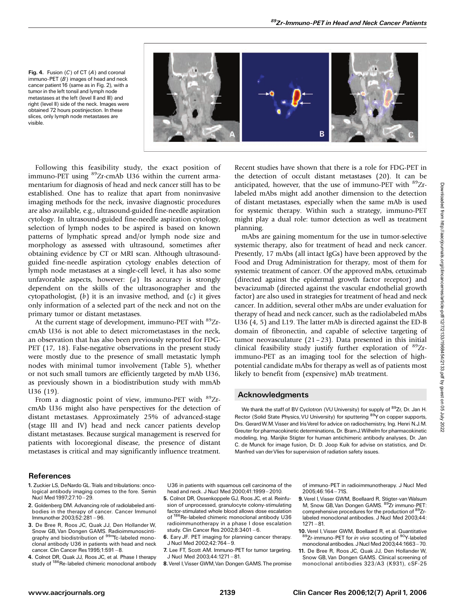

Fig. 4. Fusion  $(C)$  of CT  $(A)$  and coronal immuno-PET  $(B)$  images of head and neck cancer patient 16 (same as in Fig. 2), with a tumor in the left tonsil and lymph node metastases at the left (level II and III) and right (level II) side of the neck. Images were obtained 72 hours postinjection. In these slices, only lymph node metastases are visible.

Following this feasibility study, the exact position of immuno-PET using <sup>89</sup>Zr-cmAb U36 within the current armamentarium for diagnosis of head and neck cancer still has to be established. One has to realize that apart from noninvasive imaging methods for the neck, invasive diagnostic procedures are also available, e.g., ultrasound-guided fine-needle aspiration cytology. In ultrasound-guided fine-needle aspiration cytology, selection of lymph nodes to be aspired is based on known patterns of lymphatic spread and/or lymph node size and morphology as assessed with ultrasound, sometimes after obtaining evidence by CT or MRI scan. Although ultrasoundguided fine-needle aspiration cytology enables detection of lymph node metastases at a single-cell level, it has also some unfavorable aspects, however:  $(a)$  Its accuracy is strongly dependent on the skills of the ultrasonographer and the cytopathologist,  $(b)$  it is an invasive method, and  $(c)$  it gives only information of a selected part of the neck and not on the primary tumor or distant metastases.

At the current stage of development, immuno-PET with <sup>89</sup>ZrcmAb U36 is not able to detect micrometastases in the neck, an observation that has also been previously reported for FDG-PET (17, 18). False-negative observations in the present study were mostly due to the presence of small metastatic lymph nodes with minimal tumor involvement (Table 5), whether or not such small tumors are efficiently targeted by mAb U36, as previously shown in a biodistribution study with mmAb U36 (19).

From a diagnostic point of view, immuno-PET with  $^{89}Zr$ cmAb U36 might also have perspectives for the detection of distant metastases. Approximately 25% of advanced-stage (stage III and IV) head and neck cancer patients develop distant metastases. Because surgical management is reserved for patients with locoregional disease, the presence of distant metastases is critical and may significantly influence treatment.

Recent studies have shown that there is a role for FDG-PET in the detection of occult distant metastases (20). It can be anticipated, however, that the use of immuno-PET with  $^{89}Zr$ labeled mAbs might add another dimension to the detection of distant metastases, especially when the same mAb is used for systemic therapy. Within such a strategy, immuno-PET might play a dual role: tumor detection as well as treatment planning.

mAbs are gaining momentum for the use in tumor-selective systemic therapy, also for treatment of head and neck cancer. Presently, 17 mAbs (all intact IgGs) have been approved by the Food and Drug Administration for therapy, most of them for systemic treatment of cancer. Of the approved mAbs, cetuximab (directed against the epidermal growth factor receptor) and bevacizumab (directed against the vascular endothelial growth factor) are also used in strategies for treatment of head and neck cancer. In addition, several other mAbs are under evaluation for therapy of head and neck cancer, such as the radiolabeled mAbs U36 (4, 5) and L19. The latter mAb is directed against the ED-B domain of fibronectin, and capable of selective targeting of tumor neovasculature  $(21 - 23)$ . Data presented in this initial clinical feasibility study justify further exploration of 89Zrimmuno-PET as an imaging tool for the selection of highpotential candidate mAbs for therapy as well as of patients most likely to benefit from (expensive) mAb treatment.

## Acknowledgments

We thank the staff of BV Cyclotron (VU University) for supply of <sup>89</sup>Zr, Dr. Jan H. Rector (Solid State Physics, VU University) for sputtering <sup>89</sup>Y on copper supports, Drs. Gerard W.M. Visser and Iris Verel for advice on radiochemistry, Ing. Henri N.J.M. Greuter for pharmacokinetic determinations, Dr. BramJ.Wilhelm for pharmacokinetic modeling, Ing. Marijke Stigter for human antichimeric antibody analyses, Dr. Jan C. de Munck for image fusion, Dr. D. Joop Kuik for advise on statistics, and Dr. Manfred van derVlies for supervision of radiation safety issues.

## References

- 1. Zuckier LS, DeNardo GL.Trials and tribulations: oncological antibody imaging comes to the fore. Semin Nucl Med 1997;27:10 - 29.
- 2. Goldenberg DM. Advancing role of radiolabeled antibodies in the therapy of cancer. Cancer Immunol Immunother 2003;52:281 ^ 96.
- 3. De Bree R, Roos JC, Quak JJ, Den Hollander W, Snow GB, Van Dongen GAMS. Radioimmunoscintigraphy and biodistribution of <sup>99m</sup>Tc-labeled monoclonal antibody U36 in patients with head and neck cancer. Clin Cancer Res 1995;1:591-8.
- 4. Colnot DR, Quak JJ, Roos JC, et al. Phase I therapy study of <sup>186</sup>Re-labeled chimeric monoclonal antibody

U36 in patients with squamous cell carcinoma of the head and neck. J Nucl Med 2000;41:1999 - 2010.

- 5. Colnot DR, Ossenkoppele GJ, Roos JC, et al. Reinfusion of unprocessed, granulocyte colony-stimulating factor-stimulated whole blood allows dose escalation of  $^{186}$ Re-labeled chimeric monoclonal antihody USB  $\mathrm{^{6}Re}$ -labeled chimeric monoclonal antibody U36 radioimmunotherapy in a phase I dose escalation study. Clin Cancer Res 2002:8:3401-6.
- 6. Eary JF. PET imaging for planning cancer therapy. J Nucl Med 2002;42:764-9.
- 7. Lee FT, Scott AM. Immuno-PET for tumor targeting. J Nucl Med 2003;44:1271 ^ 81.
- 8.Verel I,Visser GWM,Van Dongen GAMS.The promise

of immuno-PET in radioimmunotherapy. J Nucl Med 2005;46:164-71S.

- 9. Verel I, Visser GWM, Boellaard R, Stigter-van Walsum M, Snow GB, Van Dongen GAMS. 89Zr immuno-PET: comprehensive procedures for the production of 89Zrlabeled monoclonal antibodies. J Nucl Med 2003;44:  $1271 - 81.$
- 10. Verel I, Visser GWM, Boellaard R, et al. Quantitative 89Zr-immuno-PET for *in vivo* scouting of <sup>90</sup>Y-labeled monoclonal antibodies. J Nucl Med 2003;44:1663-70.
- 11. De Bree R, Roos JC, Quak JJ, Den Hollander W, Snow GB, Van Dongen GAMS. Clinical screening of monoclonal antibodies 323/A3 (K931), cSF-25